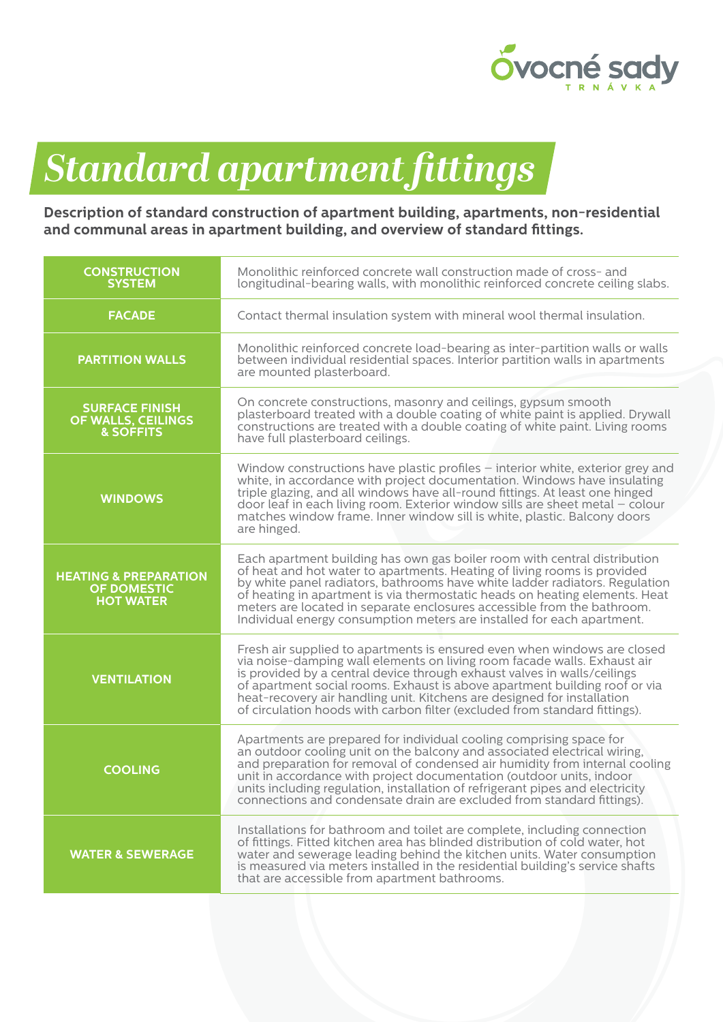

## *Standard apartment fittings*

## **Description of standard construction of apartment building, apartments, non-residential and communal areas in apartment building, and overview of standard fittings.**

| <b>CONSTRUCTION</b><br><b>SYSTEM</b>                                       | Monolithic reinforced concrete wall construction made of cross- and<br>longitudinal-bearing walls, with monolithic reinforced concrete ceiling slabs.                                                                                                                                                                                                                                                                                                                    |
|----------------------------------------------------------------------------|--------------------------------------------------------------------------------------------------------------------------------------------------------------------------------------------------------------------------------------------------------------------------------------------------------------------------------------------------------------------------------------------------------------------------------------------------------------------------|
| <b>FACADE</b>                                                              | Contact thermal insulation system with mineral wool thermal insulation.                                                                                                                                                                                                                                                                                                                                                                                                  |
| <b>PARTITION WALLS</b>                                                     | Monolithic reinforced concrete load-bearing as inter-partition walls or walls<br>between individual residential spaces. Interior partition walls in apartments<br>are mounted plasterboard.                                                                                                                                                                                                                                                                              |
| <b>SURFACE FINISH</b><br>OF WALLS, CEILINGS<br><b>&amp; SOFFITS</b>        | On concrete constructions, masonry and ceilings, gypsum smooth<br>plasterboard treated with a double coating of white paint is applied. Drywall<br>constructions are treated with a double coating of white paint. Living rooms<br>have full plasterboard ceilings.                                                                                                                                                                                                      |
| <b>WINDOWS</b>                                                             | Window constructions have plastic profiles – interior white, exterior grey and<br>white, in accordance with project documentation. Windows have insulating<br>triple glazing, and all windows have all-round fittings. At least one hinged<br>door leaf in each living room. Exterior window sills are sheet metal - colour<br>matches window frame. Inner window sill is white, plastic. Balcony doors<br>are hinged.                                                   |
| <b>HEATING &amp; PREPARATION</b><br><b>OF DOMESTIC</b><br><b>HOT WATER</b> | Each apartment building has own gas boiler room with central distribution<br>of heat and hot water to apartments. Heating of living rooms is provided<br>by white panel radiators, bathrooms have white ladder radiators. Regulation<br>of heating in apartment is via thermostatic heads on heating elements. Heat<br>meters are located in separate enclosures accessible from the bathroom.<br>Individual energy consumption meters are installed for each apartment. |
| <b>VENTILATION</b>                                                         | Fresh air supplied to apartments is ensured even when windows are closed<br>via noise-damping wall elements on living room facade walls. Exhaust air<br>is provided by a central device through exhaust valves in walls/ceilings<br>of apartment social rooms. Exhaust is above apartment building roof or via<br>heat-recovery air handling unit. Kitchens are designed for installation<br>of circulation hoods with carbon filter (excluded from standard fittings).  |
| <b>COOLING</b>                                                             | Apartments are prepared for individual cooling comprising space for<br>an outdoor cooling unit on the balcony and associated electrical wiring,<br>and preparation for removal of condensed air humidity from internal cooling<br>unit in accordance with project documentation (outdoor units, indoor<br>units including regulation, installation of refrigerant pipes and electricity<br>connections and condensate drain are excluded from standard fittings).        |
| <b>WATER &amp; SEWERAGE</b>                                                | Installations for bathroom and toilet are complete, including connection<br>of fittings. Fitted kitchen area has blinded distribution of cold water, hot<br>water and sewerage leading behind the kitchen units. Water consumption<br>is measured via meters installed in the residential building's service shafts<br>that are accessible from apartment bathrooms.                                                                                                     |